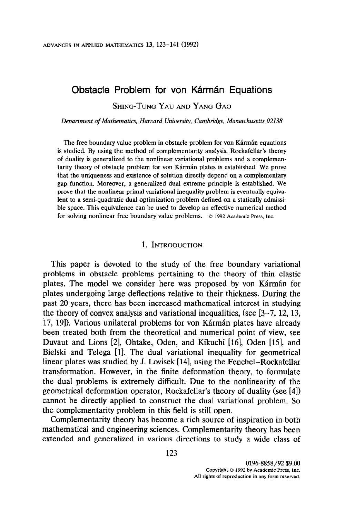# Obstacle Problem for von Kármán Equations

SHING-TUNG YAU AND YANG GAO

Department of Mathematics, Harvard University, Cambridge, Massachusetts 02138

The free boundary value problem in obstacle problem for von Kármán equations is studied. By using the method of complementarity analysis, Rockafellar's theory of duality is generalized to the nonlinear variational problems and a complementarity theory of obstacle problem for von Kármán plates is established. We prove that the uniqueness and existence of solution directly depend on a complementary gap function. Moreover, a generalized dual extreme principle is established. We prove that the nonlinear primal variational inequality problem is eventually equivalent to a semi-quadratic dual optimization problem defined on a statically admissible space. This equivalence can be used to develop an effective numerical method for solving nonlinear free boundary value problems.  $\circ$  1992 Academic Press, Inc.

#### 1. INTRODUCTION

This paper is devoted to the study of the free boundary variational problems in obstacle problems pertaining to the theory of thin elastic plates. The model we consider here was proposed by von Karman for plates undergoing large deflections relative to their thickness. During the past 20 years, there has been increased mathematical interest in studying the theory of convex analysis and variational inequalities, (see [3-7, 12, 13, i7, 191). Various unilateral problems for von Karman plates have already been treated both from the theoretical and numerical point of view, see Duvaut and Lions [2], Ohtake, Oden, and Kikuchi [16], Oden [15], and Bielski and Telega [l]. The dual variational inequality for geometrical linear plates was studied by J. Lovisek [14], using the Fenchel-Rockafellar transformation. However, in the finite deformation theory, to formulate the dual problems is extremely difficult. Due to the nonlinearity of the geometrical deformation operator, Rockafellar's theory of duality (see [4]) cannot be directly applied to construct the dual variational problem. So the complementarity problem in this field is still open.

Complementarity theory has become a rich source of inspiration in both mathematical and engineering sciences. Complementarity theory has been extended and generalized in various directions to study a wide class of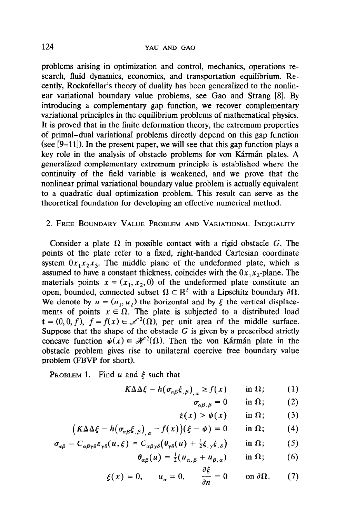problems arising in optimization and control, mechanics, operations research, fluid dynamics, economics, and transportation equilibrium. Recently, Rockafellar's theory of duality has been generalized to the nonlinear variational boundary value problems, see Gao and Strang [S]. By introducing a complementary gap function, we recover complementary variational principles in the equilibrium problems of mathematical physics. It is proved that in the finite deformation theory, the extremum properties of primal-dual variational problems directly depend on this gap function (see  $[9-11]$ ). In the present paper, we will see that this gap function plays a key role in the analysis of obstacle problems for von Kármán plates. A generalized complementary extremum principle is established where the continuity of the field variable is weakened, and we prove that the nonlinear primal variational boundary value problem is actually equivalent to a quadratic dual optimization problem. This result can serve as the theoretical foundation for developing an effective numerical method.

### 2. FREE BOUNDARY VALUE PROBLEM AND VARIATIONAL INEQUALITY

Consider a plate  $\Omega$  in possible contact with a rigid obstacle G. The points of the plate refer to a fixed, right-handed Cartesian coordinate system  $0x_1x_2x_3$ . The middle plane of the undeformed plate, which is assumed to have a constant thickness, coincides with the  $0x_1x_2$ -plane. The materials points  $x = (x_1, x_2, 0)$  of the undeformed plate constitute an open, bounded, connected subset  $\Omega \subset \mathbb{R}^2$  with a Lipschitz boundary  $\partial \Omega$ . We denote by  $u = (u_1, u_2)$  the horizontal and by  $\xi$  the vertical displacements of points  $x \in \Omega$ . The plate is subjected to a distributed load  $t = (0, 0, f), f = f(x) \in \mathcal{L}^2(\Omega)$ , per unit area of the middle surface. Suppose that the shape of the obstacle  $G$  is given by a prescribed strictly concave function  $\psi(x) \in \mathcal{H}^2(\Omega)$ . Then the von Kármán plate in the obstacle problem gives rise to unilateral coercive free boundary value problem (FBVP for short).

PROBLEM 1. Find u and  $\xi$  such that

$$
K\Delta\Delta\xi - h(\sigma_{\alpha\beta}\xi_{,\beta})_{,\alpha} \ge f(x) \qquad \text{in } \Omega; \tag{1}
$$

$$
\sigma_{\alpha\beta,\,\beta}=0\qquad\text{in }\Omega\,;\qquad \quad (2)
$$

$$
\xi(x) \ge \psi(x) \qquad \text{in } \Omega; \tag{3}
$$

$$
(K\Delta\Delta\xi - h(\sigma_{\alpha\beta}\xi_{,\beta})_{,\alpha} - f(x))(\xi - \psi) = 0 \quad \text{in } \Omega; \quad (4)
$$

$$
\sigma_{\alpha\beta}=C_{\alpha\beta\gamma\delta}\varepsilon_{\gamma\delta}(u,\xi)=C_{\alpha\beta\gamma\delta}\big(\theta_{\gamma\delta}(u)+\tfrac{1}{2}\xi_{,\gamma}\xi_{,\delta}\big)\qquad\text{in }\Omega;\qquad(5)
$$

$$
\theta_{\alpha\beta}(u) = \frac{1}{2}(u_{\alpha,\beta} + u_{\beta,\alpha}) \quad \text{in } \Omega; \quad (6)
$$

$$
\xi(x) = 0
$$
,  $u_{\alpha} = 0$ ,  $\frac{\partial \xi}{\partial n} = 0$  on  $\partial \Omega$ . (7)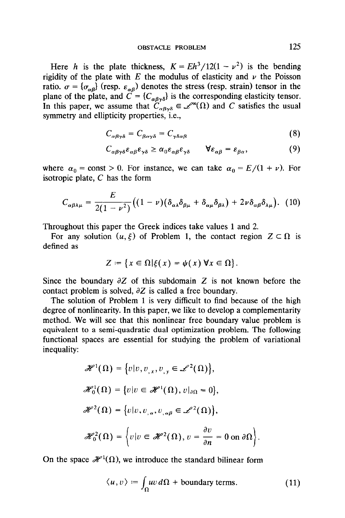Here h is the plate thickness,  $K = Eh^3/12(1 - v^2)$  is the bending rigidity of the plate with  $E$  the modulus of elasticity and  $\nu$  the Poisson ratio.  $\sigma = {\sigma_{\alpha\beta}}$  (resp.  $\varepsilon_{\alpha\beta}$ ) denotes the stress (resp. strain) tensor in the plane of the plate, and  $C = \{C_{\alpha\beta\gamma\delta}\}\)$  is the corresponding elasticity tensor. In this paper, we assume that  $C_{\alpha\beta\gamma\delta} \in \mathscr{L}^{\infty}(\Omega)$  and C satisfies the usual symmetry and ellipticity properties, i.e.,

$$
C_{\alpha\beta\gamma\delta} = C_{\beta\alpha\gamma\delta} = C_{\gamma\delta\alpha\beta} \tag{8}
$$

$$
C_{\alpha\beta\gamma\delta}\varepsilon_{\alpha\beta}\varepsilon_{\gamma\delta} \ge \alpha_0\varepsilon_{\alpha\beta}\varepsilon_{\gamma\delta} \qquad \forall \varepsilon_{\alpha\beta} = \varepsilon_{\beta\alpha},\tag{9}
$$

where  $\alpha_0 = \text{const} > 0$ . For instance, we can take  $\alpha_0 = E/(1 + \nu)$ . For isotropic plate, C has the form

$$
C_{\alpha\beta\lambda\mu} = \frac{E}{2(1-\nu^2)} \big( (1-\nu) (\delta_{\alpha\lambda}\delta_{\beta\mu} + \delta_{\alpha\mu}\delta_{\beta\lambda}) + 2\nu \delta_{\alpha\beta}\delta_{\lambda\mu} \big).
$$
 (10)

Throughout this paper the Greek indices take values 1 and 2.

For any solution  $(u, \xi)$  of Problem 1, the contact region  $Z \subset \Omega$  is defined as

$$
Z := \{x \in \Omega | \xi(x) = \psi(x) \,\forall x \in \Omega \}.
$$

Since the boundary  $\partial Z$  of this subdomain Z is not known before the contact problem is solved,  $\partial Z$  is called a free boundary.

The solution of Problem 1 is very difficult to find because of the high degree of nonlinearity. In this paper, we like to develop a complementarity method. We will see that this nonlinear free boundary value problem is equivalent to a semi-quadratic dual optimization problem. The following functional spaces are essential for studying the problem of variational inequality:

$$
\mathscr{H}^1(\Omega) = \{v|v, v_{,x}, v_{,y} \in \mathscr{L}^2(\Omega)\},\
$$

$$
\mathscr{H}_0^1(\Omega) = \{v|v \in \mathscr{H}^1(\Omega), v|_{\partial\Omega} = 0\},\
$$

$$
\mathscr{H}^2(\Omega) = \{v|v, v_{,\alpha}, v_{,\alpha\beta} \in \mathscr{L}^2(\Omega)\},\
$$

$$
\mathscr{H}_0^2(\Omega) = \{v|v \in \mathscr{H}^2(\Omega), v = \frac{\partial v}{\partial n} = 0 \text{ on } \partial\Omega\}.
$$

On the space  $\mathscr{H}^1(\Omega)$ , we introduce the standard bilinear form

$$
\langle u, v \rangle := \int_{\Omega} uv \, d\Omega + \text{boundary terms.} \tag{11}
$$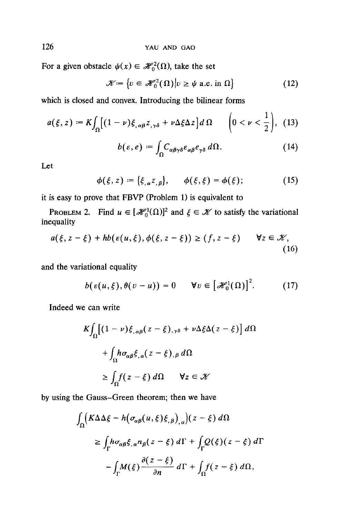For a given obstacle  $\psi(x) \in \mathcal{H}_0^2(\Omega)$ , take the set

$$
\mathscr{K} = \{ v \in \mathscr{H}_0^2(\Omega) \big| v \ge \psi \text{ a.e. in } \Omega \}
$$
 (12)

which is closed and convex. Introducing the bilinear forms

$$
a(\xi, z) := K \int_{\Omega} \Big[ (1 - \nu) \xi_{,\alpha\beta} z_{,\gamma\delta} + \nu \Delta \xi \Delta z \Big] d\,\Omega \qquad \bigg( 0 < \nu < \frac{1}{2} \bigg), \tag{13}
$$

$$
b(\varepsilon, e) := \int_{\Omega} C_{\alpha\beta\gamma\delta} \varepsilon_{\alpha\beta} e_{\gamma\delta} d\Omega.
$$
 (14)

Let

$$
\phi(\xi, z) := {\xi_{,\alpha} z_{,\beta}}, \qquad \phi(\xi, \xi) = \phi(\xi);
$$
\n(15)

it is easy to prove that FBVP (Problem 1) is equivalent to

PROBLEM 2. Find  $u \in [\mathcal{H}_0^1(\Omega)]^2$  and  $\xi \in \mathcal{K}$  to satisfy the variational inequality

$$
a(\xi, z - \xi) + hb(\varepsilon(u, \xi), \phi(\xi, z - \xi)) \ge (f, z - \xi) \qquad \forall z \in \mathcal{X},
$$
\n
$$
(16)
$$

and the variational equality

$$
b(\varepsilon(u,\xi),\theta(v-u))=0 \qquad \forall v \in \big[\mathscr{H}_0^1(\Omega)\big]^2. \tag{17}
$$

Indeed we can write

$$
K \int_{\Omega} \left[ (1 - \nu) \xi_{,\alpha\beta} (z - \xi)_{,\gamma\delta} + \nu \Delta \xi \Delta (z - \xi) \right] d\Omega
$$

$$
+ \int_{\Omega} h \sigma_{\alpha\beta} \xi_{,\alpha} (z - \xi)_{,\beta} d\Omega
$$

$$
\geq \int_{\Omega} f(z - \xi) d\Omega \qquad \forall z \in \mathcal{K}
$$

by using the Gauss-Green theorem; then we have

$$
\int_{\Omega} \left( K \Delta \Delta \xi - h \big( \sigma_{\alpha\beta}(u, \xi) \xi_{,\beta} \big)_{,\alpha} \right) (z - \xi) d\Omega
$$
\n
$$
\geq \int_{\Gamma} h \sigma_{\alpha\beta} \xi_{,\alpha} n_{\beta} (z - \xi) d\Gamma + \int_{\Gamma} Q(\xi) (z - \xi) d\Gamma
$$
\n
$$
- \int_{\Gamma} M(\xi) \frac{\partial (z - \xi)}{\partial n} d\Gamma + \int_{\Omega} f(z - \xi) d\Omega,
$$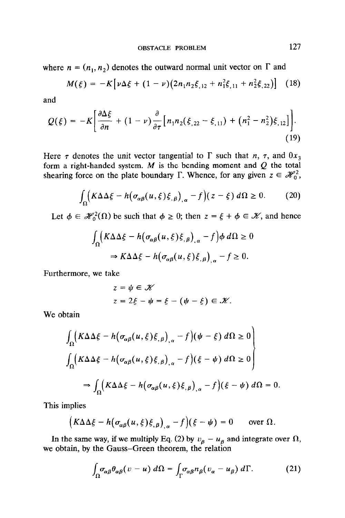where  $n = (n_1, n_2)$  denotes the outward normal unit vector on  $\Gamma$  and

$$
M(\xi) = -K[\nu\Delta\xi + (1-\nu)(2n_1n_2\xi_{12} + n_1^2\xi_{11} + n_2^2\xi_{22})] \quad (18)
$$

and

$$
Q(\xi) = -K \bigg[ \frac{\partial \Delta \xi}{\partial n} + (1 - \nu) \frac{\partial}{\partial \tau} \bigg[ n_1 n_2 (\xi_{,22} - \xi_{,11}) + (n_1^2 - n_2^2) \xi_{,12} \bigg] \bigg].
$$
\n(19)

Here  $\tau$  denotes the unit vector tangential to  $\Gamma$  such that n,  $\tau$ , and  $0x_3$ form a right-handed system.  $M$  is the bending moment and  $Q$  the total shearing force on the plate boundary  $\Gamma$ . Whence, for any given  $z \in \mathcal{H}_0^2$ ,

$$
\int_{\Omega} \left( K \Delta \Delta \xi - h \big( \sigma_{\alpha \beta}(u, \xi) \xi_{,\beta} \big)_{,\alpha} - f \big) (z - \xi) \, d\Omega \ge 0. \tag{20}
$$

Let  $\phi \in \mathcal{H}_0^2(\Omega)$  be such that  $\phi \geq 0$ ; then  $z = \xi + \phi \in \mathcal{X}$ , and hence

$$
\int_{\Omega} \left( K \Delta \Delta \xi - h \big( \sigma_{\alpha \beta} (u, \xi) \xi_{,\beta} \big)_{,\alpha} - f \right) \phi \, d\Omega \ge 0
$$

$$
\Rightarrow K \Delta \Delta \xi - h \big( \sigma_{\alpha \beta} (u, \xi) \xi_{,\beta} \big)_{,\alpha} - f \ge 0.
$$

Furthermore, we take

$$
z = \psi \in \mathcal{K}
$$
  

$$
z = 2\xi - \psi = \xi - (\psi - \xi) \in \mathcal{K}.
$$

We obtain

$$
\int_{\Omega} \left( K \Delta \Delta \xi - h \big( \sigma_{\alpha\beta}(u,\xi) \xi_{,\beta} \big)_{,\alpha} - f \big) (\psi - \xi) d\Omega \ge 0 \right)
$$
  

$$
\int_{\Omega} \left( K \Delta \Delta \xi - h \big( \sigma_{\alpha\beta}(u,\xi) \xi_{,\beta} \big)_{,\alpha} - f \big) (\xi - \psi) d\Omega \ge 0 \right)
$$
  

$$
\Rightarrow \int_{\Omega} \left( K \Delta \Delta \xi - h \big( \sigma_{\alpha\beta}(u,\xi) \xi_{,\beta} \big)_{,\alpha} - f \big) (\xi - \psi) d\Omega = 0.
$$

This implies

$$
(K\Delta\Delta\xi-h(\sigma_{\alpha\beta}(u,\xi)\xi_{,\beta})_{,\alpha}-f)(\xi-\psi)=0\quad\text{over }\Omega.
$$

In the same way, if we multiply Eq. (2) by  $v_+ - u_+$  and integrate over  $\Omega$ . we obtain, by the Gauss-Green theorem, the relation

$$
\int_{\Omega} \sigma_{\alpha\beta} \theta_{\alpha\beta} (\nu - u) \, d\Omega = \int_{\Gamma} \sigma_{\alpha\beta} n_{\beta} (\nu_{\alpha} - u_{\beta}) \, d\Gamma. \tag{21}
$$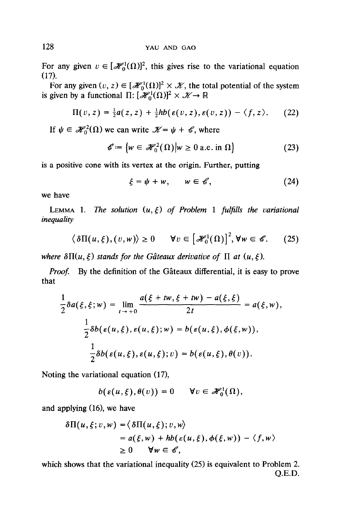For any given  $v \in [\mathcal{H}_0^1(\Omega)]^2$ , this gives rise to the variational equation (17).

For any given  $(v, z) \in [\mathcal{H}_0^1(\Omega)]^2 \times \mathcal{K}$ , the total potential of the system is given by a functional  $\Pi: [\mathcal{H}^1_0(\Omega)]^2 \times \mathcal{K} \to \mathbb{R}$ 

$$
\Pi(v,z)=\tfrac{1}{2}a(z,z)+\tfrac{1}{2}hb(\varepsilon(v,z),\varepsilon(v,z))-\langle f,z\rangle.
$$
 (22)

If  $\psi \in \mathcal{H}_0^2(\Omega)$  we can write  $\mathcal{K} = \psi + \mathcal{C}$ , where

$$
\mathscr{C} := \left\{ w \in \mathscr{H}_0^2(\Omega) \middle| w \ge 0 \text{ a.e. in } \Omega \right\}
$$
 (23)

is a positive cone with its vertex at the origin. Further, putting

$$
\xi = \psi + w, \qquad w \in \mathscr{C}, \tag{24}
$$

we have

LEMMA 1. The solution  $(u, \xi)$  of Problem 1 fulfills the variational inequality

$$
\langle \delta \Pi(u,\xi), (v,w) \rangle \ge 0 \qquad \forall v \in \big[\mathscr{H}_0^1(\Omega)\big]^2, \forall w \in \mathscr{C}.
$$
 (25)

where  $\delta\Pi(u,\xi)$  stands for the Gâteaux derivative of  $\Pi$  at  $(u,\xi)$ .

Proof. By the definition of the Gâteaux differential, it is easy to prove that

$$
\frac{1}{2}\delta a(\xi,\xi;w) = \lim_{t \to +0} \frac{a(\xi + tw, \xi + tw) - a(\xi, \xi)}{2t} = a(\xi, w),
$$

$$
\frac{1}{2}\delta b(\varepsilon(u,\xi), \varepsilon(u,\xi); w) = b(\varepsilon(u,\xi), \phi(\xi, w)),
$$

$$
\frac{1}{2}\delta b(\varepsilon(u,\xi), \varepsilon(u,\xi); v) = b(\varepsilon(u,\xi), \theta(v)).
$$

Noting the variational equation  $(17)$ ,

$$
b(\varepsilon(u,\xi),\theta(v))=0 \qquad \forall v \in \mathscr{H}_0^1(\Omega),
$$

and applying (16), we have

$$
\delta\Pi(u,\xi;v,w) = \langle \delta\Pi(u,\xi);v,w \rangle
$$
  
=  $a(\xi,w) + hb(\varepsilon(u,\xi),\phi(\xi,w)) - \langle f,w \rangle$   
 $\geq 0 \qquad \forall w \in \mathscr{C},$ 

which shows that the variational inequality (25) is equivalent to Problem 2. Q.E.D.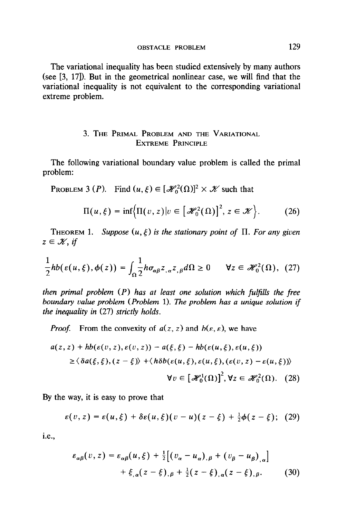The variational inequality has been studied extensively by many authors (see [3, 171). But in the geometrical nonlinear case, we will find that the variational inequality is not equivalent to the corresponding variational extreme problem.

## 3. THE PRIMAL PROBLEM AND THE VARIATIONAL EXTREME PRINCIPLE

The following variational boundary value problem is called the primal problem:

PROBLEM 3 (P). Find  $(u, \xi) \in [\mathcal{H}_0^2(\Omega)]^2 \times \mathcal{K}$  such that

$$
\Pi(u,\xi) = \inf \Bigl\{ \Pi(v,z) | v \in \bigl[ \mathcal{H}_0^2(\Omega) \bigr]^2, z \in \mathcal{K} \Bigr\}.
$$
 (26)

THEOREM 1. Suppose  $(u, \xi)$  is the stationary point of  $\Pi$ . For any given  $z \in \mathcal{K}$ , if

$$
\frac{1}{2}hb(\varepsilon(u,\xi),\phi(z))=\int_{\Omega}\frac{1}{2}h\sigma_{\alpha\beta}z_{,\alpha}z_{,\beta}d\Omega\geq0\qquad\forall z\in\mathscr{H}_0^2(\Omega),\tag{27}
$$

then primal problem  $(P)$  has at least one solution which fulfills the free boundary value problem (Problem 1). The problem has a unique solution if the inequality in (27) strictly holds.

*Proof.* From the convexity of  $a(z, z)$  and  $b(\varepsilon, \varepsilon)$ , we have

$$
a(z, z) + hb(\varepsilon(v, z), \varepsilon(v, z)) - a(\xi, \xi) - hb(\varepsilon(u, \xi), \varepsilon(u, \xi))
$$
  
\n
$$
\geq \langle \delta a(\xi, \xi), (z - \xi) \rangle + \langle h \delta b(\varepsilon(u, \xi), \varepsilon(u, \xi), (\varepsilon(v, z) - \varepsilon(u, \xi)) \rangle
$$
  
\n
$$
\forall v \in [\mathcal{H}_0^1(\Omega)]^2, \forall z \in \mathcal{H}_0^2(\Omega). \quad (28)
$$

By the way, it is easy to prove that

$$
\varepsilon(v,z)=\varepsilon(u,\xi)+\delta\varepsilon(u,\xi)(v-u)(z-\xi)+\tfrac{1}{2}\phi(z-\xi); \quad (29)
$$

i.e.,

$$
\varepsilon_{\alpha\beta}(v, z) = \varepsilon_{\alpha\beta}(u, \xi) + \frac{1}{2} \Big[ (v_{\alpha} - u_{\alpha})_{,\beta} + (v_{\beta} - u_{\beta})_{,\alpha} \Big] + \xi_{,\alpha}(z - \xi)_{,\beta} + \frac{1}{2}(z - \xi)_{,\alpha}(z - \xi)_{,\beta}.
$$
 (30)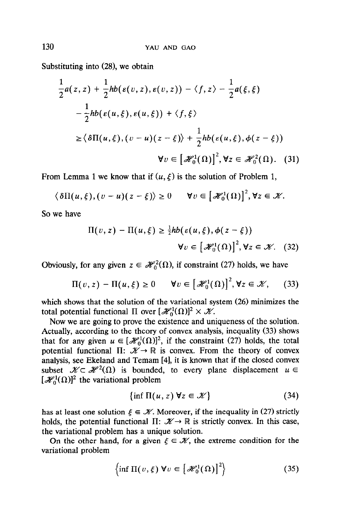Substituting into (28), we obtain

$$
\frac{1}{2}a(z, z) + \frac{1}{2}hb(\varepsilon(v, z), \varepsilon(v, z)) - \langle f, z \rangle - \frac{1}{2}a(\xi, \xi)
$$
  

$$
-\frac{1}{2}hb(\varepsilon(u, \xi), \varepsilon(u, \xi)) + \langle f, \xi \rangle
$$
  

$$
\geq \langle \delta \Pi(u, \xi), (v - u)(z - \xi) \rangle + \frac{1}{2}hb(\varepsilon(u, \xi), \phi(z - \xi))
$$
  

$$
\forall v \in [\mathcal{H}_0^1(\Omega)]^2, \forall z \in \mathcal{H}_0^2(\Omega). \quad (31)
$$

From Lemma 1 we know that if  $(u, \xi)$  is the solution of Problem 1,

$$
\langle \delta \Pi(u,\xi), (v-u)(z-\xi) \rangle \geq 0 \quad \forall v \in [\mathscr{H}_0^1(\Omega)]^2, \forall z \in \mathscr{K}.
$$

So we have

$$
\Pi(v, z) - \Pi(u, \xi) \ge \frac{1}{2}hb(\varepsilon(u, \xi), \phi(z - \xi))
$$
  

$$
\forall v \in \left[\mathcal{H}_0^1(\Omega)\right]^2, \forall z \in \mathcal{K}.
$$
 (32)

Obviously, for any given  $z \in \mathcal{H}_0^2(\Omega)$ , if constraint (27) holds, we have

$$
\Pi(v, z) - \Pi(u, \xi) \ge 0 \qquad \forall v \in [\mathscr{H}_0^1(\Omega)]^2, \forall z \in \mathscr{K}, \qquad (33)
$$

which shows that the solution of the variational system (26) minimizes the total potential functional  $\Pi$  over  $[\mathcal{H}_0^1(\Omega)]^2 \times \mathcal{K}$ .

Now we are going to prove the existence and uniqueness of the solution. Actually, according to the theory of convex analysis, inequality (33) shows that for any given  $u \in [\mathcal{H}_0^1(\Omega)]^2$ , if the constraint (27) holds, the total potential functional  $\Pi: \mathcal{K} \to \mathbb{R}$  is convex. From the theory of convex analysis, see Ekeland and Temam [4], it is known that if the closed convex subset  $\mathscr{K} \subset \mathscr{H}^2(\Omega)$  is bounded, to every plane displacement  $u \in$  $[\mathscr{H}_0^1(\Omega)]^2$  the variational problem

$$
\{\inf \Pi(u, z) \; \forall z \in \mathcal{K}\}\tag{34}
$$

has at least one solution  $\xi \in \mathcal{K}$ . Moreover, if the inequality in (27) strictly holds, the potential functional  $\Pi: \mathcal{K} \to \mathbb{R}$  is strictly convex. In this case, the variational problem has a unique solution.

On the other hand, for a given  $\xi \in \mathcal{K}$ , the extreme condition for the variational problem

$$
\left\{\inf \Pi(v,\xi) \,\forall v \in \left[\mathcal{H}_0^1(\Omega)\right]^2\right\} \tag{35}
$$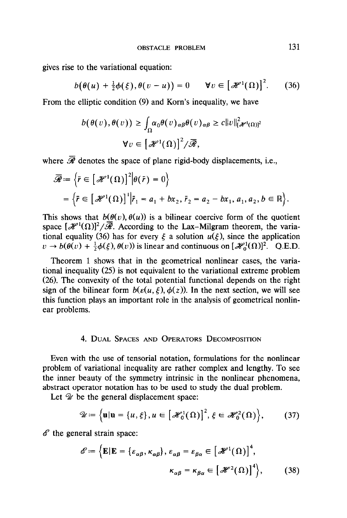gives rise to the variational equation:

$$
b(\theta(u) + \frac{1}{2}\phi(\xi), \theta(v-u)) = 0 \qquad \forall v \in [\mathscr{H}^1(\Omega)]^2. \tag{36}
$$

From the elliptic condition (9) and Korn's inequality, we have

$$
b(\theta(v), \theta(v)) \ge \int_{\Omega} \alpha_0 \theta(v)_{\alpha\beta} \theta(v)_{\alpha\beta} \ge c ||v||_{[\mathscr{H}^1(\Omega)]^2}^2
$$
  

$$
\forall v \in [\mathscr{H}^1(\Omega)]^2 / \overline{\mathscr{R}},
$$

where  $\overline{\mathscr{R}}$  denotes the space of plane rigid-body displacements, i.e.,

$$
\overline{\mathcal{R}} \coloneqq \left\{ \overline{r} \in \left[ \mathcal{H}^1(\Omega) \right]^2 \middle| \theta(\overline{r}) = 0 \right\}
$$
\n
$$
= \left\{ \overline{r} \in \left[ \mathcal{H}^1(\Omega) \right]^1 \middle| \overline{r}_1 = a_1 + bx_2, \overline{r}_2 = a_2 - bx_1, a_1, a_2, b \in \mathbb{R} \right\}.
$$

This shows that  $b(\theta(v), \theta(u))$  is a bilinear coercive form of the quotient space  $\left[\mathcal{H}^1(\Omega)\right]^2/\overline{\mathcal{R}}$ . According to the Lax-Milgram theorem, the variational equality (36) has for every  $\xi$  a solution  $u(\xi)$ , since the application  $u \to b(\theta(v) + \frac{1}{2}\phi(\xi), \theta(v))$  is linear and continuous on  $[\mathcal{H}_0^1(\Omega)]^2$ . Q.E.D.

Theorem 1 shows that in the geometrical nonlinear cases, the variational inequality (25) is not equivalent to the variational extreme problem (26). The convexity of the total potential functional depends on the right sign of the bilinear form  $b(\varepsilon(u, \xi), \phi(z))$ . In the next section, we will see this function plays an important role in the analysis of geometrical nonlinear problems.

#### 4. DUAL SPACES AND OPERATORS DECOMPOSITION

Even with the use of tensorial notation, formulations for the nonlinear problem of variational inequality are rather complex and lengthy. To see the inner beauty of the symmetry intrinsic in the nonlinear phenomena, abstract operator notation has to be used to study the dual problem.

Let  $\mathscr U$  be the general displacement space:

$$
\mathscr{U} := \left\{ \mathbf{u} \,|\, \mathbf{u} = \{u, \xi\}, u \in \big[\mathscr{H}_0^1(\Omega)\big]^2, \xi \in \mathscr{H}_0^2(\Omega) \right\},\tag{37}
$$

 $\mathscr E$  the general strain space:

$$
\mathscr{E} := \left\{ \mathbf{E} | \mathbf{E} = \{ \varepsilon_{\alpha\beta}, \kappa_{\alpha\beta} \}, \varepsilon_{\alpha\beta} = \varepsilon_{\beta\alpha} \in \left[ \mathscr{H}^1(\Omega) \right]^4, \n\kappa_{\alpha\beta} = \kappa_{\beta\alpha} \in \left[ \mathscr{H}^2(\Omega) \right]^4 \right\},
$$
\n(38)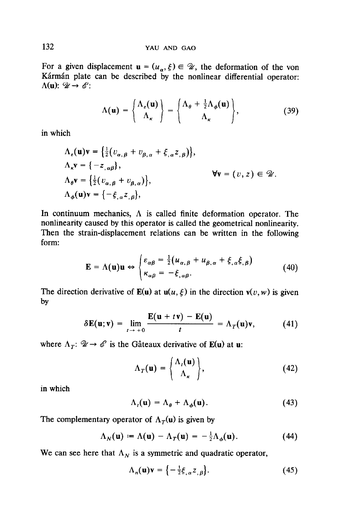For a given displacement  $\mathbf{u} = (u_{\alpha}, \xi) \in \mathcal{U}$ , the deformation of the von Kármán plate can be described by the nonlinear differential operator:  $\Lambda(\mathbf{u})$ :  $\mathscr{U} \rightarrow \mathscr{E}$ :

$$
\Lambda(\mathbf{u}) = \begin{Bmatrix} \Lambda_{\epsilon}(\mathbf{u}) \\ \Lambda_{\kappa} \end{Bmatrix} = \begin{Bmatrix} \Lambda_{\theta} + \frac{1}{2}\Lambda_{\phi}(\mathbf{u}) \\ \Lambda_{\kappa} \end{Bmatrix}, \qquad (39)
$$

in which

$$
\Lambda_{\varepsilon}(\mathbf{u})\mathbf{v} = \left\{ \frac{1}{2} (v_{\alpha,\beta} + v_{\beta,\alpha} + \xi_{,\alpha} z_{,\beta}) \right\},
$$
\n
$$
\Lambda_{\varepsilon}\mathbf{v} = \left\{ -z_{,\alpha\beta} \right\},
$$
\n
$$
\Lambda_{\theta}\mathbf{v} = \left\{ \frac{1}{2} (v_{\alpha,\beta} + v_{\beta,\alpha}) \right\},
$$
\n
$$
\forall \mathbf{v} = (v, z) \in \mathcal{U}.
$$
\n
$$
\Lambda_{\phi}(\mathbf{u})\mathbf{v} = \left\{ -\xi_{,\alpha} z_{,\beta} \right\},
$$
\n
$$
\forall \mathbf{v} = (v, z) \in \mathcal{U}.
$$

In continuum mechanics,  $\Lambda$  is called finite deformation operator. The nonlinearity caused by this operator is called the geometrical nonlinearity. Then the strain-displacement relations can be written in the following form:

$$
\mathbf{E} = \Lambda(\mathbf{u})\mathbf{u} \Leftrightarrow \begin{cases} \varepsilon_{\alpha\beta} = \frac{1}{2}(u_{\alpha,\beta} + u_{\beta,\alpha} + \xi_{,\alpha}\xi_{,\beta}) \\ \kappa_{\alpha\beta} = -\xi_{,\alpha\beta}. \end{cases}
$$
(40)

The direction derivative of  $E(u)$  at  $u(u, \xi)$  in the direction  $v(v, w)$  is given by

$$
\delta \mathbf{E}(\mathbf{u}; \mathbf{v}) = \lim_{t \to +0} \frac{\mathbf{E}(\mathbf{u} + t\mathbf{v}) - \mathbf{E}(\mathbf{u})}{t} = \Lambda_T(\mathbf{u})\mathbf{v}, \quad (41)
$$

where  $\Lambda_T: \mathcal{U} \to \mathcal{E}$  is the Gâteaux derivative of E(u) at u:

$$
\Lambda_T(\mathbf{u}) = \begin{Bmatrix} \Lambda_t(\mathbf{u}) \\ \Lambda_\kappa \end{Bmatrix}, \tag{42}
$$

in which

$$
\Lambda_t(\mathbf{u}) = \Lambda_\theta + \Lambda_\phi(\mathbf{u}). \tag{43}
$$

The complementary operator of  $\Lambda_T(\mathbf{u})$  is given by

$$
\Lambda_N(\mathbf{u}) := \Lambda(\mathbf{u}) - \Lambda_T(\mathbf{u}) = -\frac{1}{2}\Lambda_\phi(\mathbf{u}). \tag{44}
$$

We can see here that  $\Lambda_N$  is a symmetric and quadratic operator,

$$
\Lambda_n(\mathbf{u})\mathbf{v} = \left\{-\frac{1}{2}\xi_{,\,\alpha}z_{,\,\beta}\right\}.\tag{45}
$$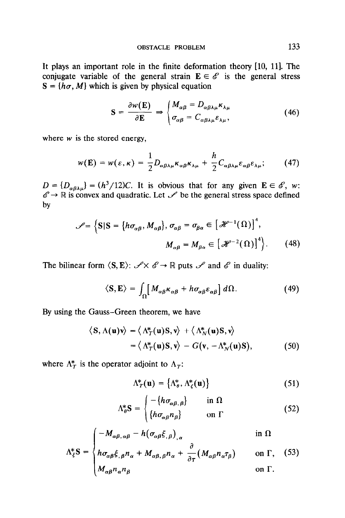It plays an important role in the finite deformation theory [10, 11]. The conjugate variable of the general strain  $E \in \mathscr{E}$  is the general stress  $S = \{h\sigma, M\}$  which is given by physical equation

$$
\mathbf{S} = \frac{\partial w(\mathbf{E})}{\partial \mathbf{E}} \Rightarrow \begin{cases} M_{\alpha\beta} = D_{\alpha\beta\lambda\mu} \kappa_{\lambda\mu} \\ \sigma_{\alpha\beta} = C_{\alpha\beta\lambda\mu} \varepsilon_{\lambda\mu}, \end{cases}
$$
(46)

where  $w$  is the stored energy,

$$
w(\mathbf{E}) = w(\varepsilon, \kappa) = \frac{1}{2} D_{\alpha\beta\lambda\mu} \kappa_{\alpha\beta} \kappa_{\lambda\mu} + \frac{h}{2} C_{\alpha\beta\lambda\mu} \varepsilon_{\alpha\beta} \varepsilon_{\lambda\mu};
$$
(47)

 $D = \{D_{\alpha\beta\lambda\mu}\} = (h^3/12)C$ . It is obvious that for any given  $\mathbf{E} \in \mathscr{E}$ , w:  $\mathscr{E} \to \mathbb{R}$  is convex and quadratic. Let  $\mathscr{S}$  be the general stress space defined by

$$
\mathcal{J} = \left\{ \mathbf{S} | \mathbf{S} = \{ h \sigma_{\alpha \beta}, M_{\alpha \beta} \}, \sigma_{\alpha \beta} = \sigma_{\beta \alpha} \in \left[ \mathcal{H}^{-1}(\Omega) \right]^4, \nM_{\alpha \beta} = M_{\beta \alpha} \in \left[ \mathcal{H}^{-2}(\Omega) \right]^4 \right\}.
$$
\n(48)

The bilinear form  $\langle S, E \rangle$ :  $\mathscr{S} \times \mathscr{E} \rightarrow \mathbb{R}$  puts  $\mathscr{S}$  and  $\mathscr{E}$  in duality:

$$
\langle \mathbf{S}, \mathbf{E} \rangle = \int_{\Omega} \left[ M_{\alpha\beta} \kappa_{\alpha\beta} + h \sigma_{\alpha\beta} \varepsilon_{\alpha\beta} \right] d\Omega. \tag{49}
$$

By using the Gauss-Green theorem, we have

$$
\langle \mathbf{S}, \Lambda(\mathbf{u}) \mathbf{v} \rangle = \langle \Lambda_T^*(\mathbf{u}) \mathbf{S}, \mathbf{v} \rangle + \langle \Lambda_N^*(\mathbf{u}) \mathbf{S}, \mathbf{v} \rangle
$$
  
=  $\langle \Lambda_T^*(\mathbf{u}) \mathbf{S}, \mathbf{v} \rangle - G(\mathbf{v}, -\Lambda_N^*(\mathbf{u}) \mathbf{S}),$  (50)

where  $\Lambda_T^*$  is the operator adjoint to  $\Lambda_T$ :

$$
\Lambda^*_{T}(\mathbf{u}) = \left\{ \Lambda^*_{\theta}, \Lambda^*_{\xi}(\mathbf{u}) \right\} \tag{51}
$$

$$
\Lambda_{\theta}^* \mathbf{S} = \begin{cases} -\{h \sigma_{\alpha\beta, \beta}\} & \text{in } \Omega\\ \{h \sigma_{\alpha\beta} n_{\beta}\} & \text{on } \Gamma \end{cases}
$$
(52)

$$
\left(-M_{\alpha\beta,\alpha\beta}-h(\sigma_{\alpha\beta}\xi_{,\beta})_{,\alpha}\right)_{,\alpha} \qquad \text{in } \Omega
$$

$$
\Lambda_{\xi}^* \mathbf{S} = \begin{cases} h \sigma_{\alpha \beta} \xi_{,\beta} n_{\alpha} + M_{\alpha \beta, \beta} n_{\alpha} + \frac{\sigma}{\partial \tau} (M_{\alpha \beta} n_{\alpha} \tau_{\beta}) & \text{on } \Gamma, & (53) \\ M_{\alpha \beta} n_{\alpha} n_{\beta} & \text{on } \Gamma. \end{cases}
$$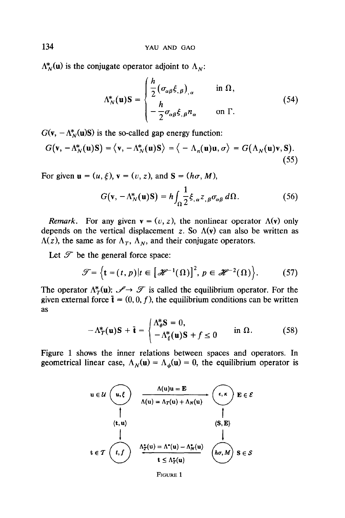$\Lambda_N^*(u)$  is the conjugate operator adjoint to  $\Lambda_N$ :

$$
\Lambda_N^*(\mathbf{u})\mathbf{S} = \begin{cases} \frac{h}{2} (\sigma_{\alpha\beta}\xi_{,\beta})_{,\alpha} & \text{in } \Omega, \\ \frac{h}{2} \sigma_{\alpha\beta}\xi_{,\beta}n_{\alpha} & \text{on } \Gamma. \end{cases}
$$
(54)

 $G(\mathbf{v}, -\Lambda_N^*(\mathbf{u})\mathbf{S})$  is the so-called gap energy function:

$$
G(\mathbf{v}, -\Lambda_N^*(\mathbf{u})\mathbf{S}) = \langle \mathbf{v}, -\Lambda_N^*(\mathbf{u})\mathbf{S} \rangle = \langle -\Lambda_n(\mathbf{u})\mathbf{u}, \sigma \rangle = G(\Lambda_N(\mathbf{u})\mathbf{v}, \mathbf{S}).
$$
\n(55)

For given  $\mathbf{u} = (u, \xi), \mathbf{v} = (v, z),$  and  $\mathbf{S} = (h\sigma, M),$ 

$$
G(\mathbf{v}, -\Lambda_N^*(\mathbf{u})\mathbf{S}) = h \int_{\Omega} \frac{1}{2} \xi_{,\alpha} z_{,\beta} \sigma_{\alpha\beta} d\Omega.
$$
 (56)

Remark. For any given  $v = (v, z)$ , the nonlinear operator  $\Lambda(v)$  only depends on the vertical displacement z. So  $\Lambda(v)$  can also be written as  $\Lambda(z)$ , the same as for  $\Lambda_T$ ,  $\Lambda_N$ , and their conjugate operators.

Let  $\mathscr T$  be the general force space:

$$
\mathcal{T} = \left\{ \mathbf{t} = (t, p) | t \in \left[ \mathcal{H}^{-1}(\Omega) \right]^2, p \in \mathcal{H}^{-2}(\Omega) \right\}. \tag{57}
$$

The operator  $\Lambda^*_T(\mathbf{u})$ :  $\mathscr{I} \to \mathscr{T}$  is called the equilibrium operator. For the given external force  $\mathbf{\vec{t}} = (0, 0, f)$ , the equilibrium conditions can be written as

$$
-\Lambda^*_{T}(\mathbf{u})\mathbf{S} + \bar{\mathbf{t}} = \begin{cases} \Lambda^*_{\theta}\mathbf{S} = 0, \\ -\Lambda^*_{\xi}(\mathbf{u})\mathbf{S} + f \le 0 \end{cases} \quad \text{in } \Omega. \tag{58}
$$

Figure 1 shows the inner relations between spaces and operators. In geometrical linear case,  $\Lambda_N(u) = \Lambda_{\phi}(u) = 0$ , the equilibrium operator is

UEU u,e 0 A(u)u = E \* c,n 0 EEE A(u) = AT(u) + AN(U) t t o?u) (Sv E) I I tE7 t,f A;(u) = A\*(U) -Ah(u) O- 0 ha,M SES t I A:(u)

FIGURE 1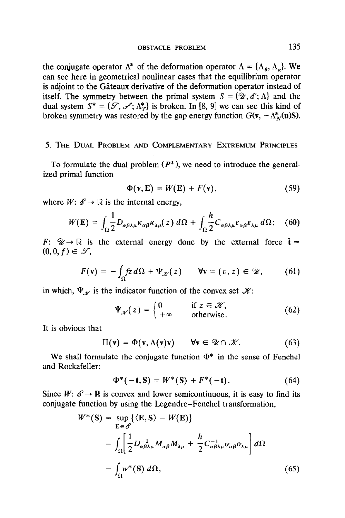the conjugate operator  $\Lambda^*$  of the deformation operator  $\Lambda = {\Lambda_{\theta}, \Lambda_{\kappa}}$ . We can see here in geometrical nonlinear cases that the equilibrium operator is adjoint to the Gâteaux derivative of the deformation operator instead of itself. The symmetry between the primal system  $S = {\mathcal{Q}_\lambda, \mathcal{E}; \Lambda}$  and the dual system  $S^* = \{ \mathcal{T}, \mathcal{S}, \Lambda^* \}$  is broken. In [8, 9] we can see this kind of broken symmetry was restored by the gap energy function  $G(v, -\Lambda^*_{N}(u)S)$ .

## 5. THE DUAL PROBLEM AND COMPLEMENTARY EXTREMUM PRINCIPLES

To formulate the dual problem  $(P^*)$ , we need to introduce the generalized primal function

$$
\Phi(\mathbf{v}, \mathbf{E}) = W(\mathbf{E}) + F(\mathbf{v}), \tag{59}
$$

where  $W: \mathscr{E} \to \mathbb{R}$  is the internal energy,

$$
W(\mathbf{E}) = \int_{\Omega} \frac{1}{2} D_{\alpha\beta\lambda\mu} \kappa_{\alpha\beta} \kappa_{\lambda\mu}(z) \, d\Omega + \int_{\Omega} \frac{h}{2} C_{\alpha\beta\lambda\mu} \varepsilon_{\alpha\beta} \varepsilon_{\lambda\mu} \, d\Omega; \quad (60)
$$

F:  $\mathcal{U} \rightarrow \mathbb{R}$  is the external energy done by the external force  $\bar{t} =$  $(0,0,f) \in \mathscr{T}$ ,

$$
F(\mathbf{v}) = -\int_{\Omega} f z \, d\Omega + \Psi_{\mathscr{K}}(z) \qquad \forall \mathbf{v} = (v, z) \in \mathscr{U}, \tag{61}
$$

in which,  $\Psi_{\mathscr{K}}$  is the indicator function of the convex set  $\mathscr{K}$ :

$$
\Psi_{\mathcal{X}}(z) = \begin{cases} 0 & \text{if } z \in \mathcal{X}, \\ +\infty & \text{otherwise.} \end{cases}
$$
(62)

It is obvious that

$$
\Pi(v) = \Phi(v, \Lambda(v)v) \qquad \forall v \in \mathscr{U} \cap \mathscr{K}.
$$
 (63)

We shall formulate the conjugate function  $\Phi^*$  in the sense of Fenchel and Rockafeller:

$$
\Phi^*(-t, S) = W^*(S) + F^*(-t). \tag{64}
$$

Since  $W: \mathscr{E} \to \mathbb{R}$  is convex and lower semicontinuous, it is easy to find its conjugate function by using the Legendre-Fenchel transformation,

$$
W^*(\mathbf{S}) = \sup_{\mathbf{E} \in \mathscr{E}} \{ \langle \mathbf{E}, \mathbf{S} \rangle - W(\mathbf{E}) \}
$$
  
= 
$$
\int_{\Omega} \left[ \frac{1}{2} D_{\alpha\beta\lambda\mu}^{-1} M_{\alpha\beta} M_{\lambda\mu} + \frac{h}{2} C_{\alpha\beta\lambda\mu}^{-1} \sigma_{\alpha\beta} \sigma_{\lambda\mu} \right] d\Omega
$$
  
= 
$$
\int_{\Omega} w^*(\mathbf{S}) d\Omega,
$$
 (65)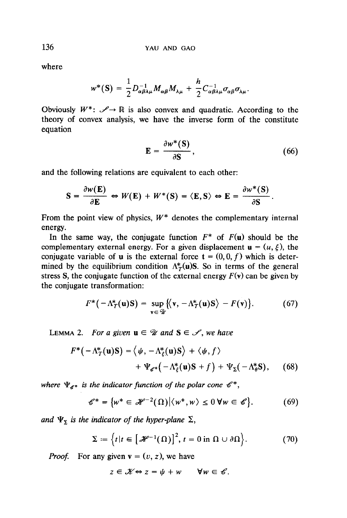where

$$
w^*(\mathbf{S}) = \frac{1}{2} D_{\alpha\beta\lambda\mu}^{-1} M_{\alpha\beta} M_{\lambda\mu} + \frac{h}{2} C_{\alpha\beta\lambda\mu}^{-1} \sigma_{\alpha\beta} \sigma_{\lambda\mu}.
$$

Obviously  $W^*$ :  $\mathscr{I} \to \mathbb{R}$  is also convex and quadratic. According to the theory of convex analysis, we have the inverse form of the constitute equation

$$
\mathbf{E} = \frac{\partial w^*(\mathbf{S})}{\partial \mathbf{S}},\tag{66}
$$

and the following relations are equivalent to each other:

$$
\mathbf{S} = \frac{\partial w(\mathbf{E})}{\partial \mathbf{E}} \Leftrightarrow W(\mathbf{E}) + W^*(\mathbf{S}) = \langle \mathbf{E}, \mathbf{S} \rangle \Leftrightarrow \mathbf{E} = \frac{\partial w^*(\mathbf{S})}{\partial \mathbf{S}}.
$$

From the point view of physics,  $W^*$  denotes the complementary internal energy.

In the same way, the conjugate function  $F^*$  of  $F(u)$  should be the complementary external energy. For a given displacement  $\mathbf{u} = (u, \xi)$ , the conjugate variable of **u** is the external force  $t = (0, 0, f)$  which is determined by the equilibrium condition  $\Lambda^*_{\tau}(u)$ S. So in terms of the general stress S, the conjugate function of the external energy  $F(v)$  can be given by the conjugate transformation:

$$
F^*(-\Lambda_T^*(\mathbf{u})\mathbf{S}) = \sup_{\mathbf{v}\in\mathscr{U}} \{ \langle \mathbf{v}, -\Lambda_T^*(\mathbf{u})\mathbf{S} \rangle - F(\mathbf{v}) \}. \tag{67}
$$

LEMMA 2. For a given  $\mathbf{u} \in \mathcal{U}$  and  $\mathbf{S} \in \mathcal{S}$ , we have

$$
F^*(-\Lambda_T^*(\mathbf{u})\mathbf{S}) = \langle \psi, -\Lambda_{\xi}^*(\mathbf{u})\mathbf{S} \rangle + \langle \psi, f \rangle + \Psi_{\mathscr{E}^*}(-\Lambda_{\xi}^*(\mathbf{u})\mathbf{S} + f) + \Psi_{\Sigma}(-\Lambda_{\theta}^*\mathbf{S}), \qquad (68)
$$

where  $\Psi_{\ell^*}$  is the indicator function of the polar cone  $\ell^*,$ 

$$
\mathscr{C}^* = \{ w^* \in \mathscr{H}^{-2}(\Omega) | \langle w^*, w \rangle \leq 0 \,\forall w \in \mathscr{C} \}. \tag{69}
$$

and  $\Psi_{\Sigma}$  is the indicator of the hyper-plane  $\Sigma$ ,

$$
\Sigma := \left\{ t | t \in \left[ \mathcal{H}^{-1}(\Omega) \right]^2, t = 0 \text{ in } \Omega \cup \partial \Omega \right\}.
$$
 (70)

*Proof.* For any given  $v = (v, z)$ , we have

$$
z \in \mathscr{K} \Leftrightarrow z = \psi + w \qquad \forall w \in \mathscr{C}.
$$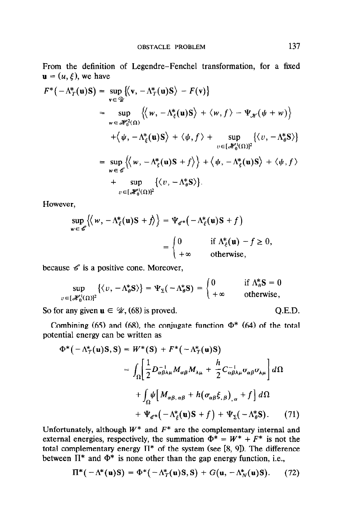$$
F^*(-\Lambda_T^*(\mathbf{u})S) = \sup_{\mathbf{v}\in\mathscr{U}} \left\{ \left\langle \mathbf{v}, -\Lambda_T^*(\mathbf{u})S \right\rangle - F(\mathbf{v}) \right\}
$$
  
\n
$$
= \sup_{\mathbf{w}\in\mathscr{H}_0^2(\Omega)} \left\{ \left\langle w, -\Lambda_{\xi}^*(\mathbf{u})S \right\rangle + \left\langle w, f \right\rangle - \Psi_{\mathscr{K}}(\psi + w) \right\}
$$
  
\n
$$
+ \left\langle \psi, -\Lambda_{\xi}^*(\mathbf{u})S \right\rangle + \left\langle \psi, f \right\rangle + \sup_{v\in[\mathscr{K}_0^1(\Omega)]^2} \left\{ \left\langle v, -\Lambda_{\theta}^*S \right\rangle \right\}
$$
  
\n
$$
= \sup_{\mathbf{w}\in\mathscr{C}} \left\{ \left\langle w, -\Lambda_{\xi}^*(\mathbf{u})S + f \right\rangle \right\} + \left\langle \psi, -\Lambda_{\xi}^*(\mathbf{u})S \right\rangle + \left\langle \psi, f \right\rangle
$$
  
\n
$$
+ \sup_{v\in[\mathscr{K}_0^1(\Omega)]^2} \left\{ \left\langle v, -\Lambda_{\theta}^*S \right\rangle \right\}.
$$

However,

$$
\sup_{w \in \mathscr{C}} \left\{ \left\langle w, -\Lambda_{\xi}^{*}(\mathbf{u})\mathbf{S} + f \right\rangle \right\} = \Psi_{\mathscr{L}^{*}}(-\Lambda_{\xi}^{*}(\mathbf{u})\mathbf{S} + f)
$$

$$
= \begin{cases} 0 & \text{if } \Lambda_{\xi}^{*}(\mathbf{u}) - f \ge 0, \\ +\infty & \text{otherwise,} \end{cases}
$$

because  $\mathscr{C}$  is a positive cone, Moreover,

$$
\sup_{v \in [\mathscr{H}_0^1(\Omega)]^2} \left\{ \langle v, -\Lambda_\theta^* \mathbf{S} \rangle \right\} = \Psi_{\Sigma}(-\Lambda_\theta^* \mathbf{S}) = \begin{cases} 0 & \text{if } \Lambda_\theta^* \mathbf{S} = 0 \\ +\infty & \text{otherwise,} \end{cases}
$$

So for any given  $\mathbf{u} \in \mathcal{U}$ , (68) is proved. Q.E.D.

Combining (65) and (68), the conjugate function  $\Phi^*$  (64) of the total potential energy can be written as

$$
\Phi^*(-\Lambda_T^*(\mathbf{u})\mathbf{S}, \mathbf{S}) = W^*(\mathbf{S}) + F^*(-\Lambda_T^*(\mathbf{u})\mathbf{S})
$$
  
\n
$$
= \int_{\Omega} \left[ \frac{1}{2} D_{\alpha\beta\lambda\mu}^{-1} M_{\alpha\beta} M_{\lambda\mu} + \frac{h}{2} C_{\alpha\beta\lambda\mu}^{-1} \sigma_{\alpha\beta} \sigma_{\lambda\mu} \right] d\Omega
$$
  
\n
$$
+ \int_{\Omega} \psi \left[ M_{\alpha\beta,\alpha\beta} + h(\sigma_{\alpha\beta}\xi_{,\beta})_{,\alpha} + f \right] d\Omega
$$
  
\n
$$
+ \Psi_{\mathcal{E}^*}(-\Lambda_{\xi}^*(\mathbf{u})\mathbf{S} + f) + \Psi_{\Sigma}(-\Lambda_{\theta}^*\mathbf{S}). \tag{71}
$$

Unfortunately, although  $W^*$  and  $F^*$  are the complementary internal and external energies, respectively, the summation  $\Phi^* = W^* + F^*$  is not the total complementary energy  $\Pi^*$  of the system (see [8, 9]). The difference between  $\Pi^*$  and  $\Phi^*$  is none other than the gap energy function, i.e.,

$$
\Pi^*(-\Lambda^*(\mathbf{u})S) = \Phi^*(-\Lambda^*_T(\mathbf{u})S,S) + G(\mathbf{u}, -\Lambda^*_N(\mathbf{u})S). \qquad (72)
$$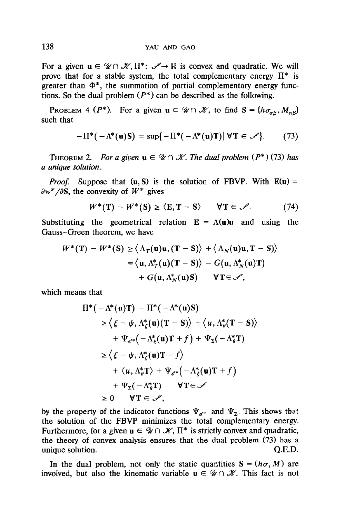For a given  $u \in \mathcal{U} \cap \mathcal{K}, \Pi^* : \mathcal{I} \rightarrow \mathbb{R}$  is convex and quadratic. We will prove that for a stable system, the total complementary energy  $\Pi^*$  is greater than  $\Phi^*$ , the summation of partial complementary energy functions. So the dual problem  $(P^*)$  can be described as the following.

PROBLEM 4 (P<sup>\*</sup>). For a given  $\mathbf{u} \in \mathcal{U} \cap \mathcal{K}$ , to find  $\mathbf{S} = \{h \sigma_{\alpha\beta}, M_{\alpha\beta}\}\$ such that

$$
-\Pi^*(-\Lambda^*(\mathbf{u})\mathbf{S}) = \sup\{-\Pi^*(-\Lambda^*(\mathbf{u})\mathbf{T})|\ \forall \mathbf{T} \in \mathscr{S}\}.
$$
 (73)

THEOREM 2. For a given  $\mathbf{u} \in \mathcal{U} \cap \mathcal{K}$ . The dual problem  $(P^*)$  (73) has a unique solution.

*Proof.* Suppose that  $(u, S)$  is the solution of FBVP. With  $E(u) =$  $\partial w^*/\partial S$ , the convexity of  $W^*$  gives

$$
W^*(\mathbf{T}) - W^*(\mathbf{S}) \ge \langle \mathbf{E}, \mathbf{T} - \mathbf{S} \rangle \qquad \forall \mathbf{T} \in \mathscr{S}.
$$
 (74)

Substituting the geometrical relation  $E = \Lambda(u)u$  and using the Gauss-Green theorem, we have

$$
W^*(\mathbf{T}) - W^*(\mathbf{S}) \ge \langle \Lambda_T(\mathbf{u})\mathbf{u}, (\mathbf{T} - \mathbf{S}) \rangle + \langle \Lambda_N(\mathbf{u})\mathbf{u}, \mathbf{T} - \mathbf{S} \rangle \rangle
$$
  
=  $\langle \mathbf{u}, \Lambda_T^*(\mathbf{u})(\mathbf{T} - \mathbf{S}) \rangle - G(\mathbf{u}, \Lambda_N^*(\mathbf{u})\mathbf{T})$   
+  $G(\mathbf{u}, \Lambda_N^*(\mathbf{u})\mathbf{S}) \qquad \forall \mathbf{T} \in \mathscr{S},$ 

which means that

$$
\Pi^*(-\Lambda^*(\mathbf{u})\mathbf{T}) - \Pi^*(-\Lambda^*(\mathbf{u})\mathbf{S})
$$
\n
$$
\geq \langle \xi - \psi, \Lambda^*_\xi(\mathbf{u})(\mathbf{T} - \mathbf{S}) \rangle + \langle u, \Lambda^*_\theta(\mathbf{T} - \mathbf{S}) \rangle
$$
\n
$$
+ \Psi_{\mathscr{E}^*}(-\Lambda^*_\xi(\mathbf{u})\mathbf{T} + f) + \Psi_{\Sigma}(-\Lambda^*_\theta\mathbf{T})
$$
\n
$$
\geq \langle \xi - \psi, \Lambda^*_\xi(\mathbf{u})\mathbf{T} - f \rangle
$$
\n
$$
+ \langle u, \Lambda^*_\theta\mathbf{T} \rangle + \Psi_{\mathscr{E}^*}(-\Lambda^*_\xi(\mathbf{u})\mathbf{T} + f)
$$
\n
$$
+ \Psi_{\Sigma}(-\Lambda^*_\theta\mathbf{T}) \qquad \forall \mathbf{T} \in \mathscr{S}
$$
\n
$$
\geq 0 \qquad \forall \mathbf{T} \in \mathscr{S},
$$

by the property of the indicator functions  $\Psi_{\mathscr{L}^*}$  and  $\Psi_{\Sigma}$ . This shows that the solution of the FBVP minimizes the total complementary energy. Furthermore, for a given  $\mathbf{u} \in \mathcal{U} \cap \mathcal{K}$ ,  $\Pi^*$  is strictly convex and quadratic, the theory of convex analysis ensures that the dual problem (73) has a unique solution. Q.E.D.

In the dual problem, not only the static quantities  $S = (h\sigma, M)$  are involved, but also the kinematic variable  $u \in \mathcal{U} \cap \mathcal{K}$ . This fact is not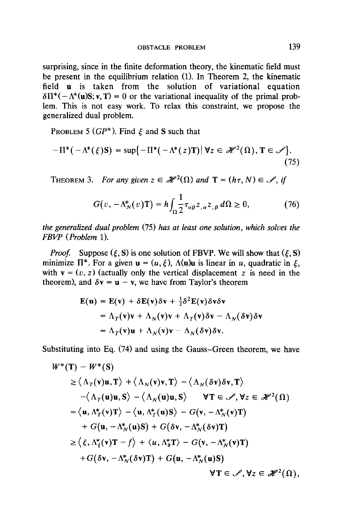surprising, since in the finite deformation theory, the kinematic field must be present in the equilibrium relation (1). In Theorem 2, the kinematic field u is taken from the solution of variational equation  $\delta \Pi^*(-\Lambda^*(u)S; v, T) = 0$  or the variational inequality of the primal problem. This is not easy work. To relax this constraint, we propose the generalized dual problem.

PROBLEM 5 ( $GP^*$ ). Find  $\xi$  and S such that

$$
-\Pi^*(-\Lambda^*(\xi)\mathbf{S}) = \sup\{-\Pi^*(-\Lambda^*(z)\mathbf{T})|\ \forall z \in \mathscr{H}^2(\Omega), \mathbf{T} \in \mathscr{S}\}.
$$
\n(75)

THEOREM 3. For any given  $z \in \mathcal{H}^2(\Omega)$  and  $\mathbf{T} = (h\tau, N) \in \mathcal{S}$ , if

$$
G(v, -\Lambda_N^*(v)\mathbf{T}) = h \int_{\Omega} \frac{1}{2} \tau_{\alpha\beta} z_{,\alpha} z_{,\beta} d\Omega \ge 0, \qquad (76)
$$

the generalized dual problem (75) has at least one solution, which solves the FBVP (Problem 1).

*Proof.* Suppose  $(\xi, S)$  is one solution of FBVP. We will show that  $(\xi, S)$ minimize  $\Pi^*$ . For a given  $\mathbf{u} = (u, \xi)$ ,  $\Lambda(\mathbf{u})\mathbf{u}$  is linear in u, quadratic in  $\xi$ , with  $\mathbf{v} = (v, z)$  (actually only the vertical displacement z is need in the theorem), and  $\delta v = u - v$ , we have from Taylor's theorem

$$
\mathbf{E}(\mathbf{u}) = \mathbf{E}(\mathbf{v}) + \delta \mathbf{E}(\mathbf{v}) \delta \mathbf{v} + \frac{1}{2} \delta^2 \mathbf{E}(\mathbf{v}) \delta \mathbf{v} \delta \mathbf{v}
$$
  
=  $\Lambda_T(\mathbf{v})\mathbf{v} + \Lambda_N(\mathbf{v})\mathbf{v} + \Lambda_T(\mathbf{v}) \delta \mathbf{v} - \Lambda_N(\delta \mathbf{v}) \delta \mathbf{v}$   
=  $\Lambda_T(\mathbf{v})\mathbf{u} + \Lambda_N(\mathbf{v})\mathbf{v} - \Lambda_N(\delta \mathbf{v}) \delta \mathbf{v}.$ 

Substituting into Eq. (74) and using the Gauss-Green theorem, we have

$$
W^*(\mathbf{T}) - W^*(\mathbf{S})
$$
  
\n
$$
\geq \langle \Lambda_T(\mathbf{v})\mathbf{u}, \mathbf{T} \rangle + \langle \Lambda_N(\mathbf{v})\mathbf{v}, \mathbf{T} \rangle - \langle \Lambda_N(\delta\mathbf{v})\delta\mathbf{v}, \mathbf{T} \rangle
$$
  
\n
$$
-\langle \Lambda_T(\mathbf{u})\mathbf{u}, \mathbf{S} \rangle - \langle \Lambda_N(\mathbf{u})\mathbf{u}, \mathbf{S} \rangle \quad \forall \mathbf{T} \in \mathcal{S}, \forall z \in \mathcal{H}^2(\Omega)
$$
  
\n
$$
= \langle \mathbf{u}, \Lambda_T^*(\mathbf{v})\mathbf{T} \rangle - \langle \mathbf{u}, \Lambda_T^*(\mathbf{u})\mathbf{S} \rangle - G(\mathbf{v}, -\Lambda_N^*(\mathbf{v})\mathbf{T})
$$
  
\n
$$
+ G(\mathbf{u}, -\Lambda_N^*(\mathbf{u})\mathbf{S}) + G(\delta\mathbf{v}, -\Lambda_N^*(\delta\mathbf{v})\mathbf{T})
$$
  
\n
$$
\geq \langle \xi, \Lambda_{\xi}^*(\mathbf{v})\mathbf{T} - f \rangle + \langle \mathbf{u}, \Lambda_T^*(\mathbf{T}) - G(\mathbf{v}, -\Lambda_N^*(\mathbf{v})\mathbf{T})
$$
  
\n
$$
+ G(\delta\mathbf{v}, -\Lambda_N^*(\delta\mathbf{v})\mathbf{T}) + G(\mathbf{u}, -\Lambda_N^*(\mathbf{u})\mathbf{S})
$$
  
\n
$$
\forall \mathbf{T} \in \mathcal{S}, \forall z \in \mathcal{H}^2(\Omega)
$$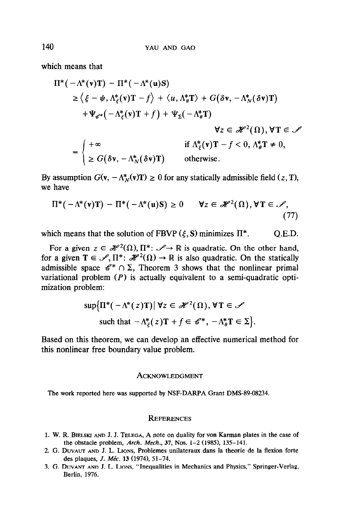which means that

$$
\Pi^*(-\Lambda^*(v)T) - \Pi^*(-\Lambda^*(u)S)
$$
  
\n
$$
\geq \langle \xi - \psi, \Lambda^*_\xi(v)T - f \rangle + \langle u, \Lambda^*_\theta T \rangle + G(\delta v, -\Lambda^*_N(\delta v)T)
$$
  
\n
$$
+ \Psi_{\mathscr{E}^*}(-\Lambda^*_\xi(v)T + f) + \Psi_{\Sigma}(-\Lambda^*_\theta T)
$$
  
\n
$$
\forall z \in \mathscr{H}^2(\Omega), \forall T \in \mathscr{S}
$$
  
\n
$$
= \begin{cases} +\infty & \text{if } \Lambda^*_\xi(v)T - f < 0, \Lambda^*_\theta T \neq 0, \\ \geq G(\delta v, -\Lambda^*_N(\delta v)T) & \text{otherwise.} \end{cases}
$$

By assumption  $G(v, -\Lambda^*_{N}(v)T) \ge 0$  for any statically admissible field  $(z, T)$ , we have

$$
\Pi^*(-\Lambda^*(v)\mathbf{T}) - \Pi^*(-\Lambda^*(u)\mathbf{S}) \ge 0 \qquad \forall z \in \mathscr{H}^2(\Omega), \forall \mathbf{T} \in \mathscr{S}, \tag{77}
$$

which means that the solution of FBVP  $(\xi, S)$  minimizes  $\Pi^*$ . Q.E.D.

For a given  $z \in \mathcal{H}^2(\Omega), \Pi^* \colon \mathcal{S} \to \mathbb{R}$  is quadratic. On the other hand, for a given  $T \in \mathscr{S}, \Pi^* : \mathscr{H}^2(\Omega) \to \mathbb{R}$  is also quadratic. On the statically admissible space  $\mathscr{C}^* \cap \Sigma$ , Theorem 3 shows that the nonlinear primal variational problem  $(P)$  is actually equivalent to a semi-quadratic optimization problem:

$$
\sup \{ \Pi^*(-\Lambda^*(z)\mathbf{T}) \, | \, \forall z \in \mathscr{H}^2(\Omega), \forall \mathbf{T} \in \mathscr{S}
$$
\n
$$
\text{such that } -\Lambda^*_{\xi}(z)\mathbf{T} + f \in \mathscr{C}^*, \, -\Lambda^*_{\theta}\mathbf{T} \in \Sigma \}.
$$

Based on this theorem, we can develop an effective numerical method for this nonlinear free boundary value problem.

#### ACKNOWLEDGMENT

The work reported here was supported by NSF-DARPA Grant DMS-89-08234.

#### **REFERENCES**

- 1. W. R. BIELSKI AND J. J. TELEGA, A note on duality for von Karman plates in the case of the obstacle problem, Arch. Mech., 37, Nos. 1-2 (1985), 135-141.
- 2. G. DWAUT AND J. L. LIONS, Problemes unilateraux dans la theorie de la flexion forte des plaques, J. Méc. 13 (1974), 51-74.
- 3. G. DWANT AND J. L. LIONS, "Inequalities in Mechanics and Physics," Springer-Verlag, Berlin, 1976.